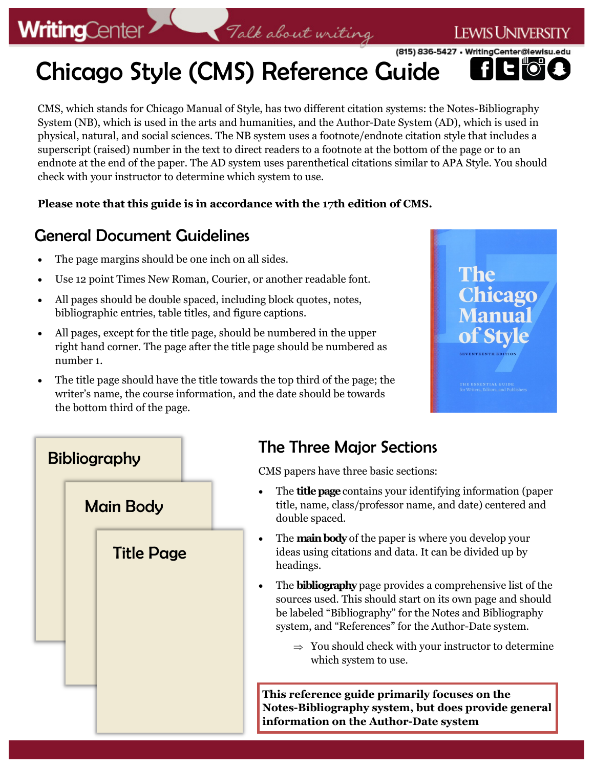# **WritingCenter**

**LEWIS UNIVERSITY** 

(815) 836-5427 · WritingCenter@lewisu.edu

Chicago Style (CMS) Reference Guide

CMS, which stands for Chicago Manual of Style, has two different citation systems: the Notes-Bibliography System (NB), which is used in the arts and humanities, and the Author-Date System (AD), which is used in physical, natural, and social sciences. The NB system uses a footnote/endnote citation style that includes a superscript (raised) number in the text to direct readers to a footnote at the bottom of the page or to an endnote at the end of the paper. The AD system uses parenthetical citations similar to APA Style. You should check with your instructor to determine which system to use.

Talk about writing

#### **Please note that this guide is in accordance with the 17th edition of CMS.**

### General Document Guidelines

- The page margins should be one inch on all sides.
- Use 12 point Times New Roman, Courier, or another readable font.
- All pages should be double spaced, including block quotes, notes, bibliographic entries, table titles, and figure captions.
- All pages, except for the title page, should be numbered in the upper right hand corner. The page after the title page should be numbered as number 1.
- The title page should have the title towards the top third of the page; the writer's name, the course information, and the date should be towards the bottom third of the page.





CMS papers have three basic sections:

- The **title page** contains your identifying information (paper title, name, class/professor name, and date) centered and double spaced.
- The **main body** of the paper is where you develop your ideas using citations and data. It can be divided up by headings.
- The **bibliography** page provides a comprehensive list of the sources used. This should start on its own page and should be labeled "Bibliography" for the Notes and Bibliography system, and "References" for the Author-Date system.
	- $\Rightarrow$  You should check with your instructor to determine which system to use.

**This reference guide primarily focuses on the Notes-Bibliography system, but does provide general information on the Author-Date system**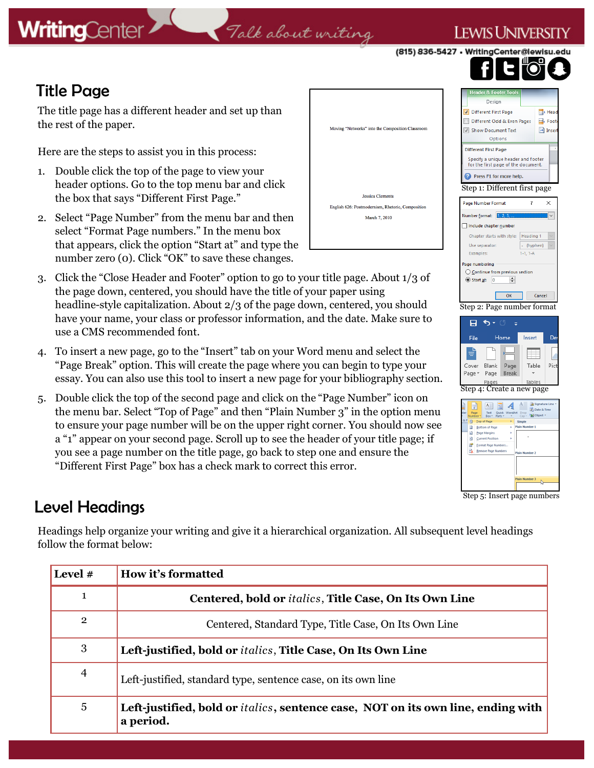#### I EWIS UNIVERS

<mark>⊟</mark>+ Hea

**e**t Foo

(815) 836-5427 · WritingCenter@lewisu

Different First Page

Different Odd & Even Pages

# Title Page

**WritingCenter** 

The title page has a different header and set up than the rest of the paper.

Here are the steps to assist you in this process:

- 1. Double click the top of the page to view your header options. Go to the top menu bar and click the box that says "Different First Page."
- 2. Select "Page Number" from the menu bar and then select "Format Page numbers." In the menu box that appears, click the option "Start at" and type the number zero (0). Click "OK" to save these changes.
- 3. Click the "Close Header and Footer" option to go to your title page. About 1/3 of the page down, centered, you should have the title of your paper using headline-style capitalization. About 2/3 of the page down, centered, you should have your name, your class or professor information, and the date. Make sure to use a CMS recommended font.
- 4. To insert a new page, go to the "Insert" tab on your Word menu and select the "Page Break" option. This will create the page where you can begin to type your essay. You can also use this tool to insert a new page for your bibliography section.
- 5. Double click the top of the second page and click on the "Page Number" icon on the menu bar. Select "Top of Page" and then "Plain Number 3" in the option menu to ensure your page number will be on the upper right corner. You should now see a "1" appear on your second page. Scroll up to see the header of your title page; if you see a page number on the title page, go back to step one and ensure the "Different First Page" box has a check mark to correct this error.

# Moving "Networks" into the Composition Classroom Jessica Clements English 626: Postmodernism, Rhetoric, Composition March 7, 2010

Talk about writing





Step 5: Insert page numbers

#### Level Headings

Headings help organize your writing and give it a hierarchical organization. All subsequent level headings follow the format below:

| Level #        | How it's formatted                                                                                    |  |
|----------------|-------------------------------------------------------------------------------------------------------|--|
| 1              | Centered, bold or <i>italics</i> , Title Case, On Its Own Line                                        |  |
| $\overline{2}$ | Centered, Standard Type, Title Case, On Its Own Line                                                  |  |
| 3              | Left-justified, bold or <i>italics</i> , Title Case, On Its Own Line                                  |  |
| $\overline{4}$ | Left-justified, standard type, sentence case, on its own line                                         |  |
| 5              | Left-justified, bold or <i>italics</i> , sentence case, NOT on its own line, ending with<br>a period. |  |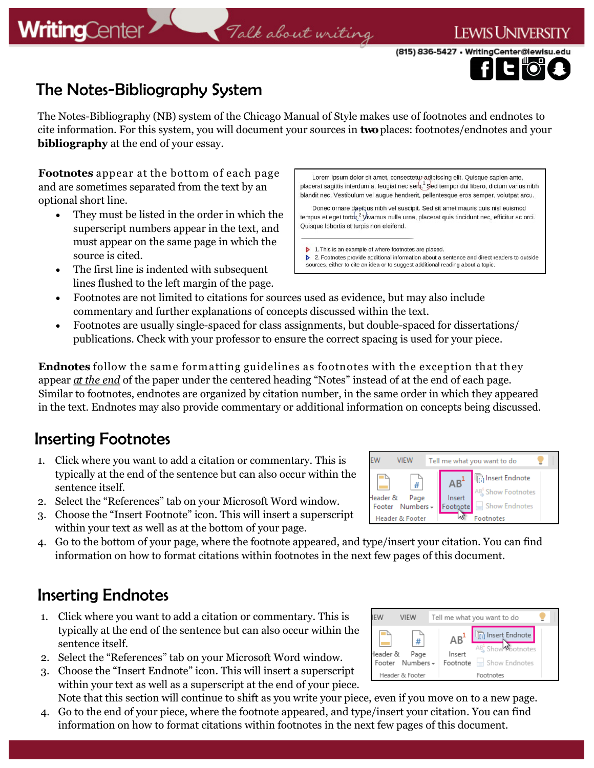# **WritingCenter**

# The Notes-Bibliography System

The Notes-Bibliography (NB) system of the Chicago Manual of Style makes use of footnotes and endnotes to cite information. For this system, you will document your sources in **two**places: footnotes/endnotes and your **bibliography** at the end of your essay.

Talk about writing

**Footnotes** appear at the bottom of each page and are sometimes separated from the text by an optional short line.

- They must be listed in the order in which the superscript numbers appear in the text, and must appear on the same page in which the source is cited.
- The first line is indented with subsequent lines flushed to the left margin of the page.

Lorem ipsum dolor sit amet, consectetur-adipiscing elit. Ouisque sapien ante, placerat sagittis interdum a, feugiat nec sem.<sup>1</sup> Sed tempor dui libero, dictum varius nibh blandit nec. Vestibulum vel augue hendrerit, pellentesque eros semper, volutpat arcu.

Donec ornare dapibus nibh vel suscipit. Sed sit amet mauris quis nisl euismod tempus et eget tortor.<sup>2</sup> Vivamus nulla urna, placerat quis tincidunt nec, efficitur ac orci. Quisque lobortis et turpis non eleifend.

 $\triangleright$  1. This is an example of where footnotes are placed. ▶ 2. Footnotes provide additional information about a sentence and direct readers to outside sources, either to cite an idea or to suggest additional reading about a topic.

- Footnotes are not limited to citations for sources used as evidence, but may also include commentary and further explanations of concepts discussed within the text.
- Footnotes are usually single-spaced for class assignments, but double-spaced for dissertations/ publications. Check with your professor to ensure the correct spacing is used for your piece.

**Endnotes** follow the same form atting guidelines as footnotes with the exception that they appear *at the end* of the paper under the centered heading "Notes" instead of at the end of each page. Similar to footnotes, endnotes are organized by citation number, in the same order in which they appeared in the text. Endnotes may also provide commentary or additional information on concepts being discussed.

#### Inserting Footnotes

- 1. Click where you want to add a citation or commentary. This is typically at the end of the sentence but can also occur within the sentence itself.
- 2. Select the "References" tab on your Microsoft Word window.
- 3. Choose the "Insert Footnote" icon. This will insert a superscript within your text as well as at the bottom of your page.
- 4. Go to the bottom of your page, where the footnote appeared, and type/insert your citation. You can find information on how to format citations within footnotes in the next few pages of this document.

# Inserting Endnotes

- 1. Click where you want to add a citation or commentary. This is typically at the end of the sentence but can also occur within the sentence itself.
- 2. Select the "References" tab on your Microsoft Word window.
- 3. Choose the "Insert Endnote" icon. This will insert a superscript within your text as well as a superscript at the end of your piece. Note that this section will continue to shift as you write your piece, even if you move on to a new page.
- 4. Go to the end of your piece, where the footnote appeared, and type/insert your citation. You can find information on how to format citations within footnotes in the next few pages of this document.





**EWIS UNIVERS** 

(815) 836-5427 · WritingCenter@lewisu.

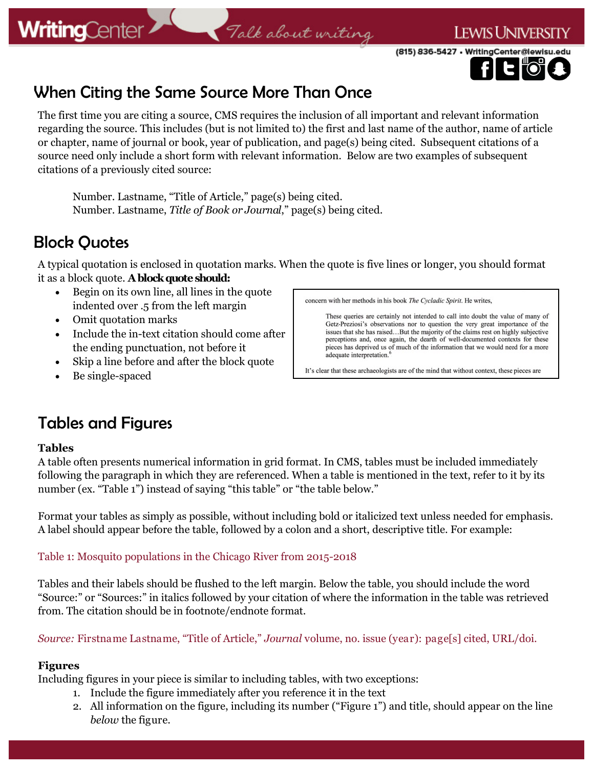(815) 836-5427 • WritingCenter@lewisu.



# When Citing the Same Source More Than Once

The first time you are citing a source, CMS requires the inclusion of all important and relevant information regarding the source. This includes (but is not limited to) the first and last name of the author, name of article or chapter, name of journal or book, year of publication, and page(s) being cited. Subsequent citations of a source need only include a short form with relevant information. Below are two examples of subsequent citations of a previously cited source:

Talk about writing

Number. Lastname, "Title of Article," page(s) being cited. Number. Lastname, *Title of Book or Journal*," page(s) being cited.

### Block Quotes

A typical quotation is enclosed in quotation marks. When the quote is five lines or longer, you should format it as a block quote. **A block quote should:**

- Begin on its own line, all lines in the quote indented over .5 from the left margin
- Omit quotation marks
- Include the in-text citation should come after the ending punctuation, not before it
- Skip a line before and after the block quote
- Be single-spaced

concern with her methods in his book The Cycladic Spirit. He writes,

These queries are certainly not intended to call into doubt the value of many of Getz-Preziosi's observations nor to question the very great importance of the issues that she has raised...But the majority of the claims rest on highly subjective perceptions and, once again, the dearth of well-documented contexts for these pieces has deprived us of much of the information that we would need for a more adequate interpretation.<sup>6</sup>

It's clear that these archaeologists are of the mind that without context, these pieces are

# Tables and Figures

#### **Tables**

A table often presents numerical information in grid format. In CMS, tables must be included immediately following the paragraph in which they are referenced. When a table is mentioned in the text, refer to it by its number (ex. "Table 1") instead of saying "this table" or "the table below."

Format your tables as simply as possible, without including bold or italicized text unless needed for emphasis. A label should appear before the table, followed by a colon and a short, descriptive title. For example:

Table 1: Mosquito populations in the Chicago River from 2015-2018

Tables and their labels should be flushed to the left margin. Below the table, you should include the word "Source:" or "Sources:" in italics followed by your citation of where the information in the table was retrieved from. The citation should be in footnote/endnote format.

*Source:* Firstname Lastname, "Title of Article," *Journal* volume, no. issue (year): page[s] cited, URL/doi.

#### **Figures**

Including figures in your piece is similar to including tables, with two exceptions:

- 1. Include the figure immediately after you reference it in the text
- 2. All information on the figure, including its number ("Figure 1") and title, should appear on the line *below* the figure.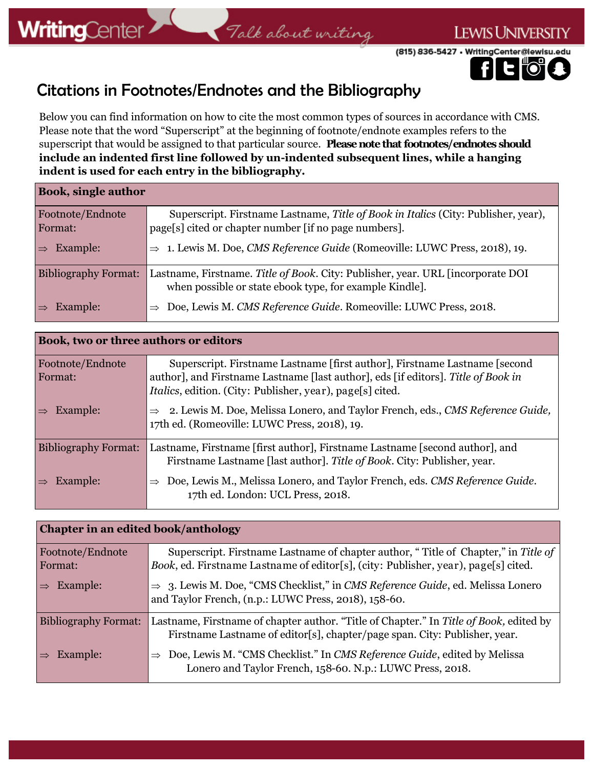# Talk about writing

(815) 836-5427 • WritingCenter@lewisu.edu



**LEWIS UNIVERSITY** 

# Citations in Footnotes/Endnotes and the Bibliography

Below you can find information on how to cite the most common types of sources in accordance with CMS. Please note that the word "Superscript" at the beginning of footnote/endnote examples refers to the superscript that would be assigned to that particular source. **Please note that footnotes/endnotes should include an indented first line followed by un-indented subsequent lines, while a hanging indent is used for each entry in the bibliography.**

| <b>Book, single author</b>  |                                                                                                                                             |
|-----------------------------|---------------------------------------------------------------------------------------------------------------------------------------------|
| Footnote/Endnote<br>Format: | Superscript. Firstname Lastname, Title of Book in Italics (City: Publisher, year),<br>page[s] cited or chapter number [if no page numbers]. |
| Example:                    | 1. Lewis M. Doe, CMS Reference Guide (Romeoville: LUWC Press, 2018), 19.                                                                    |
| <b>Bibliography Format:</b> | Lastname, Firstname. Title of Book. City: Publisher, year. URL [incorporate DOI<br>when possible or state ebook type, for example Kindle].  |
| Example:                    | Doe, Lewis M. CMS Reference Guide. Romeoville: LUWC Press, 2018.                                                                            |

| Book, two or three authors or editors |                                                                                                                                                                                                                                                   |  |
|---------------------------------------|---------------------------------------------------------------------------------------------------------------------------------------------------------------------------------------------------------------------------------------------------|--|
| Footnote/Endnote<br>Format:           | Superscript. Firstname Lastname [first author], Firstname Lastname [second]<br>author], and Firstname Lastname [last author], eds [if editors]. Title of Book in<br><i>Italics</i> , edition. (City: Publisher, year), page <sup>[s]</sup> cited. |  |
| Example:                              | 2. Lewis M. Doe, Melissa Lonero, and Taylor French, eds., CMS Reference Guide,<br>17th ed. (Romeoville: LUWC Press, 2018), 19.                                                                                                                    |  |
| <b>Bibliography Format:</b>           | Lastname, Firstname [first author], Firstname Lastname [second author], and<br>Firstname Lastname [last author]. Title of Book. City: Publisher, year.                                                                                            |  |
| Example:                              | Doe, Lewis M., Melissa Lonero, and Taylor French, eds. CMS Reference Guide.<br>$\Rightarrow$<br>17th ed. London: UCL Press, 2018.                                                                                                                 |  |

| Chapter in an edited book/anthology |                                                                                                                                                                          |  |
|-------------------------------------|--------------------------------------------------------------------------------------------------------------------------------------------------------------------------|--|
| Footnote/Endnote<br>Format:         | Superscript. Firstname Lastname of chapter author, "Title of Chapter," in Title of<br>Book, ed. Firstname Lastname of editor[s], (city: Publisher, year), page[s] cited. |  |
| Example:<br>$\Rightarrow$           | $\Rightarrow$ 3. Lewis M. Doe, "CMS Checklist," in CMS Reference Guide, ed. Melissa Lonero<br>and Taylor French, (n.p.: LUWC Press, 2018), 158-60.                       |  |
| <b>Bibliography Format:</b>         | Lastname, Firstname of chapter author. "Title of Chapter." In Title of Book, edited by<br>Firstname Lastname of editor[s], chapter/page span. City: Publisher, year.     |  |
| Example:                            | Doe, Lewis M. "CMS Checklist." In CMS Reference Guide, edited by Melissa<br>$\Rightarrow$<br>Lonero and Taylor French, 158-60. N.p.: LUWC Press, 2018.                   |  |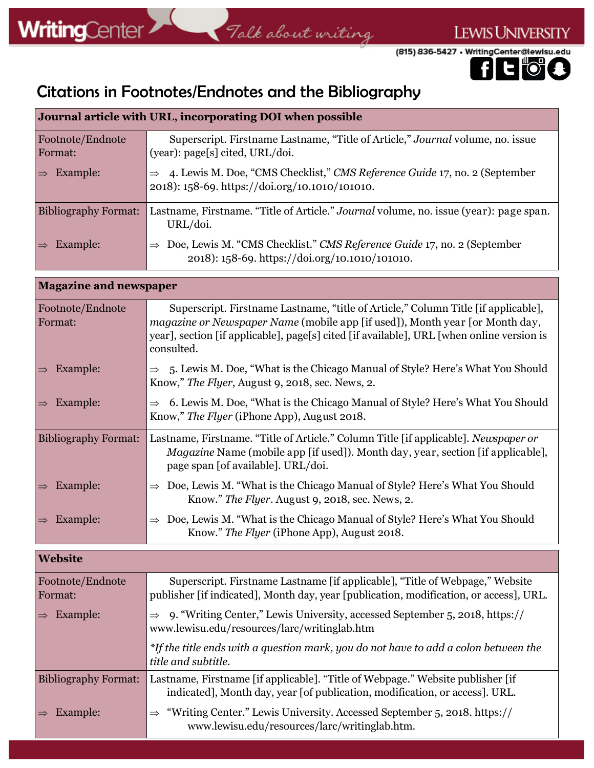# Falk about writing



LEWIS UNIVERSITY

# Citations in Footnotes/Endnotes and the Bibliography

 $\mathbb{R}^2$ 

| Journal article with URL, incorporating DOI when possible |                                                                                                                                               |  |
|-----------------------------------------------------------|-----------------------------------------------------------------------------------------------------------------------------------------------|--|
| Footnote/Endnote<br>Format:                               | Superscript. Firstname Lastname, "Title of Article," Journal volume, no. issue<br>(year): page[s] cited, URL/doi.                             |  |
| Example:<br>$\Rightarrow$                                 | 4. Lewis M. Doe, "CMS Checklist," CMS Reference Guide 17, no. 2 (September<br>$\Rightarrow$<br>2018): 158-69. https://doi.org/10.1010/101010. |  |
| <b>Bibliography Format:</b>                               | Lastname, Firstname. "Title of Article." Journal volume, no. issue (year): page span.<br>URL/doi.                                             |  |
| Example:                                                  | Doe, Lewis M. "CMS Checklist." CMS Reference Guide 17, no. 2 (September<br>$\Rightarrow$<br>2018): 158-69. https://doi.org/10.1010/101010.    |  |

| <b>Magazine and newspaper</b> |                                                                                                                                                                                                                                                                               |  |
|-------------------------------|-------------------------------------------------------------------------------------------------------------------------------------------------------------------------------------------------------------------------------------------------------------------------------|--|
| Footnote/Endnote<br>Format:   | Superscript. Firstname Lastname, "title of Article," Column Title [if applicable],<br>magazine or Newspaper Name (mobile app [if used]), Month year [or Month day,<br>year], section [if applicable], page[s] cited [if available], URL [when online version is<br>consulted. |  |
| Example:                      | 5. Lewis M. Doe, "What is the Chicago Manual of Style? Here's What You Should<br>Know," The Flyer, August 9, 2018, sec. News, 2.                                                                                                                                              |  |
| Example:                      | 6. Lewis M. Doe, "What is the Chicago Manual of Style? Here's What You Should<br>$\Rightarrow$<br>Know," The Flyer (iPhone App), August 2018.                                                                                                                                 |  |
| <b>Bibliography Format:</b>   | Lastname, Firstname. "Title of Article." Column Title [if applicable]. Newspaper or<br><i>Magazine</i> Name (mobile app [if used]). Month day, year, section [if applicable],<br>page span [of available]. URL/doi.                                                           |  |
| Example:                      | Doe, Lewis M. "What is the Chicago Manual of Style? Here's What You Should<br>Know." The Flyer. August 9, 2018, sec. News, 2.                                                                                                                                                 |  |
| Example:<br>$\Rightarrow$     | Doe, Lewis M. "What is the Chicago Manual of Style? Here's What You Should<br>$\Rightarrow$<br>Know." The Flyer (iPhone App), August 2018.                                                                                                                                    |  |

| <b>Website</b>              |                                                                                                                                                                        |
|-----------------------------|------------------------------------------------------------------------------------------------------------------------------------------------------------------------|
| Footnote/Endnote<br>Format: | Superscript. Firstname Lastname [if applicable], "Title of Webpage," Website<br>publisher [if indicated], Month day, year [publication, modification, or access], URL. |
| Example:<br>$\Rightarrow$   | 9. "Writing Center," Lewis University, accessed September 5, 2018, https://<br>www.lewisu.edu/resources/larc/writinglab.htm                                            |
|                             | *If the title ends with a question mark, you do not have to add a colon between the<br>title and subtitle.                                                             |
| <b>Bibliography Format:</b> | Lastname, Firstname [if applicable]. "Title of Webpage." Website publisher [if<br>indicated], Month day, year [of publication, modification, or access]. URL.          |
| Example:                    | "Writing Center." Lewis University. Accessed September 5, 2018. https://<br>$\Rightarrow$<br>www.lewisu.edu/resources/larc/writinglab.htm.                             |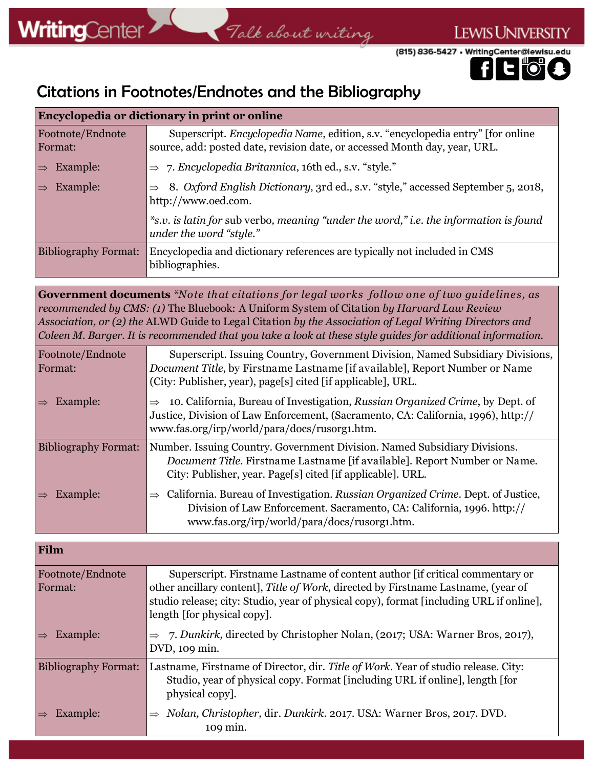# Talk about writing

(815) 836-5427 · WritingCenter@lewisu.edu



LEWIS UNIVERSITY

# Citations in Footnotes/Endnotes and the Bibliography

| <b>Encyclopedia or dictionary in print or online</b> |                                                                                                                  |
|------------------------------------------------------|------------------------------------------------------------------------------------------------------------------|
| Footnote/Endnote                                     | Superscript. <i>Encyclopedia Name</i> , edition, s.v. "encyclopedia entry" [for online                           |
| Format:                                              | source, add: posted date, revision date, or accessed Month day, year, URL.                                       |
| Example:                                             | 7. Encyclopedia Britannica, 16th ed., s.v. "style."                                                              |
| $\Rightarrow$                                        | $\Rightarrow$                                                                                                    |
| Example:                                             | 8. Oxford English Dictionary, 3rd ed., s.v. "style," accessed September 5, 2018,                                 |
| $\Rightarrow$                                        | http://www.oed.com.                                                                                              |
|                                                      | *s.v. is latin for sub verbo, meaning "under the word," i.e. the information is found<br>under the word "style." |
| <b>Bibliography Format:</b>                          | Encyclopedia and dictionary references are typically not included in CMS<br>bibliographies.                      |

**Government documents** *\*Note th at citations for legal works follow one of two guidelines, as recommended by CMS: (1)* The Bluebook: A Uniform System of Citation *by Harvard Law Review Association, or (2) the* ALWD Guide to Legal Citation *by the Association of Legal Writing Directors and Coleen M. Barger. It is recommended that you take a look at these style guides for additional information.*

| Footnote/Endnote<br>Format: | Superscript. Issuing Country, Government Division, Named Subsidiary Divisions,<br>Document Title, by Firstname Lastname [if available], Report Number or Name<br>(City: Publisher, year), page[s] cited [if applicable], URL. |
|-----------------------------|-------------------------------------------------------------------------------------------------------------------------------------------------------------------------------------------------------------------------------|
| Example:                    | 10. California, Bureau of Investigation, Russian Organized Crime, by Dept. of<br>Justice, Division of Law Enforcement, (Sacramento, CA: California, 1996), http://<br>www.fas.org/irp/world/para/docs/rusorg1.htm.            |
| <b>Bibliography Format:</b> | Number. Issuing Country. Government Division. Named Subsidiary Divisions.<br>Document Title. Firstname Lastname [if available]. Report Number or Name.<br>City: Publisher, year. Page[s] cited [if applicable]. URL.          |
| Example:                    | California. Bureau of Investigation. Russian Organized Crime. Dept. of Justice,<br>$\Rightarrow$<br>Division of Law Enforcement. Sacramento, CA: California, 1996. http://<br>www.fas.org/irp/world/para/docs/rusorg1.htm.    |

| Film                        |                                                                                                                                                                                                                                                                                             |
|-----------------------------|---------------------------------------------------------------------------------------------------------------------------------------------------------------------------------------------------------------------------------------------------------------------------------------------|
| Footnote/Endnote<br>Format: | Superscript. Firstname Lastname of content author [if critical commentary or<br>other ancillary content], Title of Work, directed by Firstname Lastname, (year of<br>studio release; city: Studio, year of physical copy), format [including URL if online],<br>length [for physical copy]. |
| Example:                    | 7. Dunkirk, directed by Christopher Nolan, (2017; USA: Warner Bros, 2017),<br>DVD, 109 min.                                                                                                                                                                                                 |
| <b>Bibliography Format:</b> | Lastname, Firstname of Director, dir. Title of Work. Year of studio release. City:<br>Studio, year of physical copy. Format [including URL if online], length [for<br>physical copy].                                                                                                       |
| Example:                    | Nolan, Christopher, dir. Dunkirk. 2017. USA: Warner Bros, 2017. DVD.<br>109 min.                                                                                                                                                                                                            |